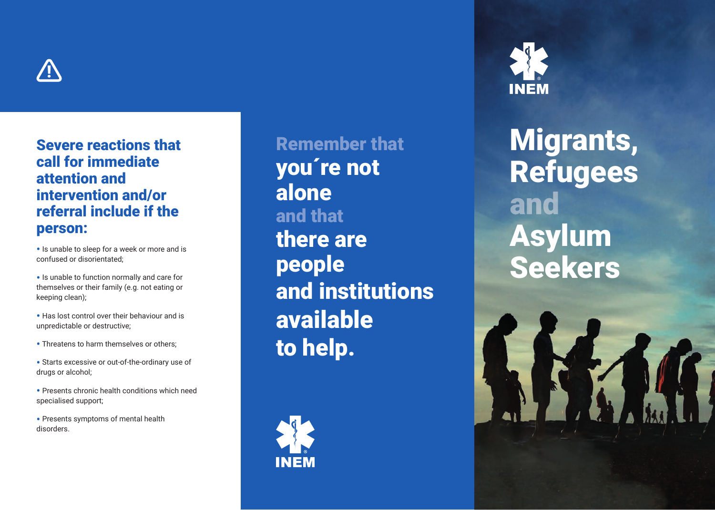

# Severe reactions that call for immediate attention and intervention and/or referral include if the person:

• Is unable to sleep for a week or more and is confused or disorientated;

- Is unable to function normally and care for themselves or their family (e.g. not eating or keeping clean);
- Has lost control over their behaviour and is unpredictable or destructive;
- Threatens to harm themselves or others:
- Starts excessive or out-of-the-ordinary use of drugs or alcohol;
- Presents chronic health conditions which need specialised support;
- Presents symptoms of mental health disorders.

Remember that you´re not alone and that there are people and institutions available to help.





Migrants, Refugees and Asylum Seekers